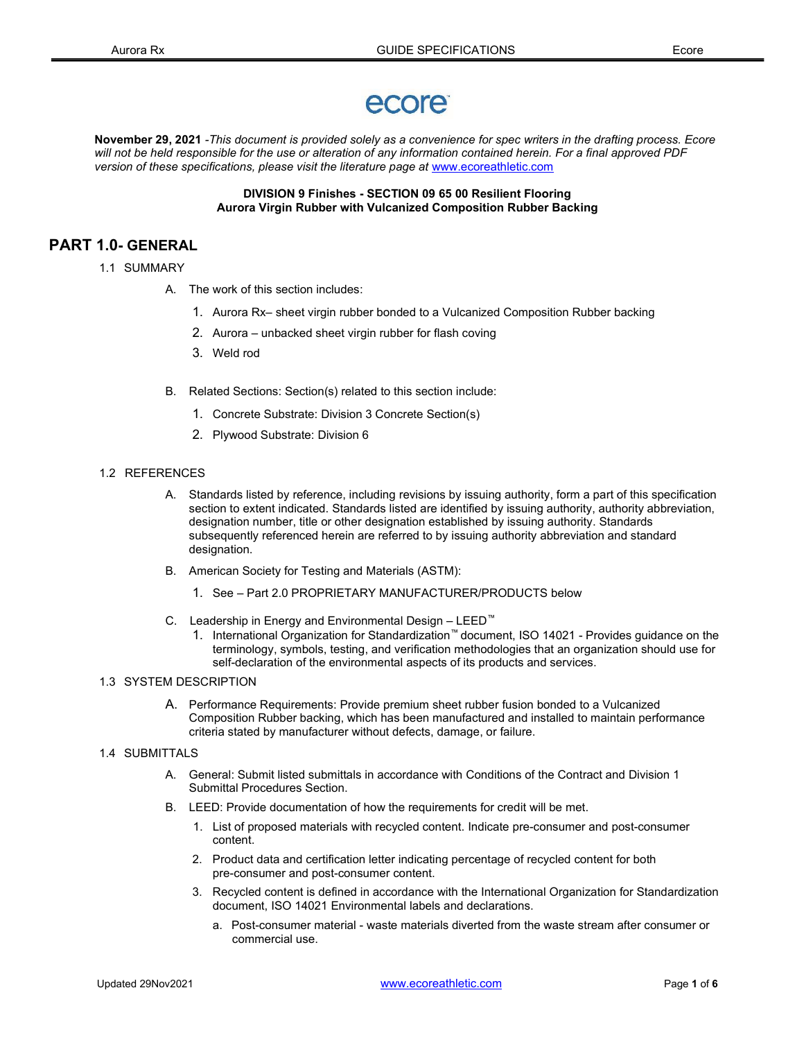# ecore

November 29, 2021 -This document is provided solely as a convenience for spec writers in the drafting process. Ecore will not be held responsible for the use or alteration of any information contained herein. For a final approved PDF version of these specifications, please visit the literature page at www.ecoreathletic.com

## DIVISION 9 Finishes - SECTION 09 65 00 Resilient Flooring Aurora Virgin Rubber with Vulcanized Composition Rubber Backing

# PART 1.0- GENERAL

- 1.1 SUMMARY
	- A. The work of this section includes:
		- 1. Aurora Rx– sheet virgin rubber bonded to a Vulcanized Composition Rubber backing
		- 2. Aurora unbacked sheet virgin rubber for flash coving
		- 3. Weld rod
	- B. Related Sections: Section(s) related to this section include:
		- 1. Concrete Substrate: Division 3 Concrete Section(s)
		- 2. Plywood Substrate: Division 6

### 1.2 REFERENCES

- A. Standards listed by reference, including revisions by issuing authority, form a part of this specification section to extent indicated. Standards listed are identified by issuing authority, authority abbreviation, designation number, title or other designation established by issuing authority. Standards subsequently referenced herein are referred to by issuing authority abbreviation and standard designation.
- B. American Society for Testing and Materials (ASTM):
	- 1. See Part 2.0 PROPRIETARY MANUFACTURER/PRODUCTS below
- C. Leadership in Energy and Environmental Design LEED™
	- 1. International Organization for Standardization™ document, ISO 14021 Provides guidance on the terminology, symbols, testing, and verification methodologies that an organization should use for self-declaration of the environmental aspects of its products and services.

# 1.3 SYSTEM DESCRIPTION

A. Performance Requirements: Provide premium sheet rubber fusion bonded to a Vulcanized Composition Rubber backing, which has been manufactured and installed to maintain performance criteria stated by manufacturer without defects, damage, or failure.

# 1.4 SUBMITTALS

- A. General: Submit listed submittals in accordance with Conditions of the Contract and Division 1 Submittal Procedures Section.
- B. LEED: Provide documentation of how the requirements for credit will be met.
	- 1. List of proposed materials with recycled content. Indicate pre-consumer and post-consumer content.
	- 2. Product data and certification letter indicating percentage of recycled content for both pre-consumer and post-consumer content.
	- 3. Recycled content is defined in accordance with the International Organization for Standardization document, ISO 14021 Environmental labels and declarations.
		- a. Post-consumer material waste materials diverted from the waste stream after consumer or commercial use.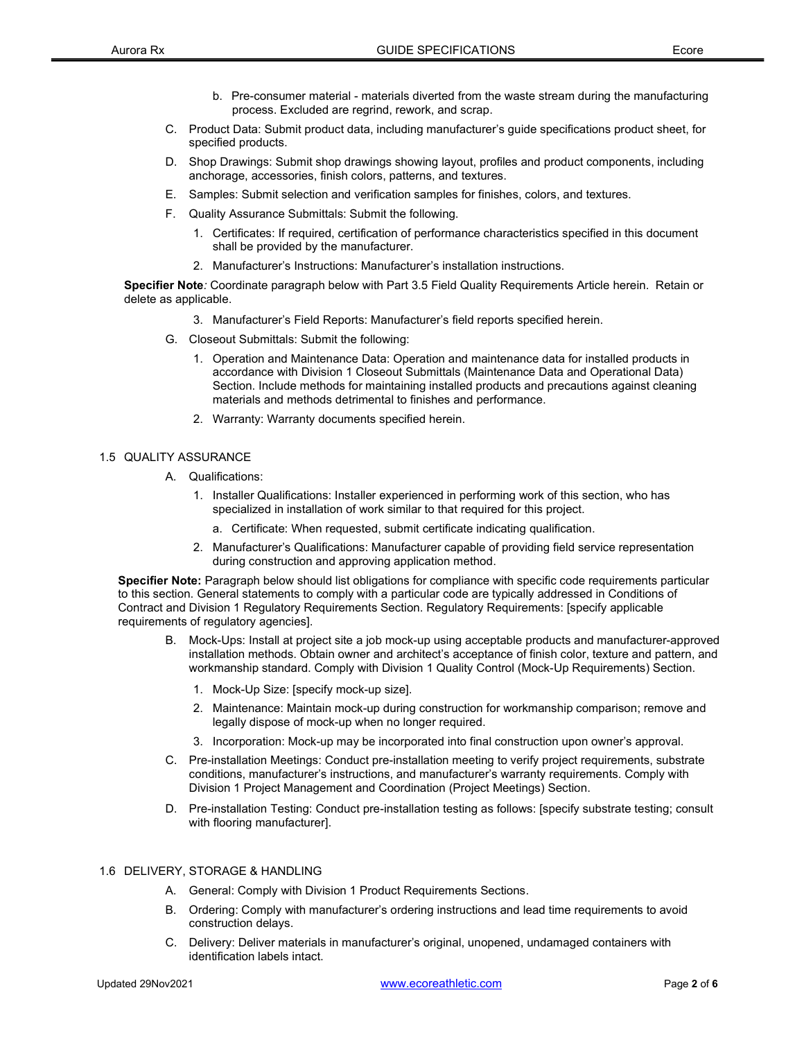- b. Pre-consumer material materials diverted from the waste stream during the manufacturing process. Excluded are regrind, rework, and scrap.
- C. Product Data: Submit product data, including manufacturer's guide specifications product sheet, for specified products.
- D. Shop Drawings: Submit shop drawings showing layout, profiles and product components, including anchorage, accessories, finish colors, patterns, and textures.
- E. Samples: Submit selection and verification samples for finishes, colors, and textures.
- F. Quality Assurance Submittals: Submit the following.
	- 1. Certificates: If required, certification of performance characteristics specified in this document shall be provided by the manufacturer.
	- 2. Manufacturer's Instructions: Manufacturer's installation instructions.

Specifier Note: Coordinate paragraph below with Part 3.5 Field Quality Requirements Article herein. Retain or delete as applicable.

- 3. Manufacturer's Field Reports: Manufacturer's field reports specified herein.
- G. Closeout Submittals: Submit the following:
	- 1. Operation and Maintenance Data: Operation and maintenance data for installed products in accordance with Division 1 Closeout Submittals (Maintenance Data and Operational Data) Section. Include methods for maintaining installed products and precautions against cleaning materials and methods detrimental to finishes and performance.
	- 2. Warranty: Warranty documents specified herein.

## 1.5 QUALITY ASSURANCE

- A. Qualifications:
	- 1. Installer Qualifications: Installer experienced in performing work of this section, who has specialized in installation of work similar to that required for this project.
		- a. Certificate: When requested, submit certificate indicating qualification.
	- 2. Manufacturer's Qualifications: Manufacturer capable of providing field service representation during construction and approving application method.

Specifier Note: Paragraph below should list obligations for compliance with specific code requirements particular to this section. General statements to comply with a particular code are typically addressed in Conditions of Contract and Division 1 Regulatory Requirements Section. Regulatory Requirements: [specify applicable requirements of regulatory agencies].

- B. Mock-Ups: Install at project site a job mock-up using acceptable products and manufacturer-approved installation methods. Obtain owner and architect's acceptance of finish color, texture and pattern, and workmanship standard. Comply with Division 1 Quality Control (Mock-Up Requirements) Section.
	- 1. Mock-Up Size: [specify mock-up size].
	- 2. Maintenance: Maintain mock-up during construction for workmanship comparison; remove and legally dispose of mock-up when no longer required.
	- 3. Incorporation: Mock-up may be incorporated into final construction upon owner's approval.
- C. Pre-installation Meetings: Conduct pre-installation meeting to verify project requirements, substrate conditions, manufacturer's instructions, and manufacturer's warranty requirements. Comply with Division 1 Project Management and Coordination (Project Meetings) Section.
- D. Pre-installation Testing: Conduct pre-installation testing as follows: [specify substrate testing; consult with flooring manufacturer].

## 1.6 DELIVERY, STORAGE & HANDLING

- A. General: Comply with Division 1 Product Requirements Sections.
- B. Ordering: Comply with manufacturer's ordering instructions and lead time requirements to avoid construction delays.
- C. Delivery: Deliver materials in manufacturer's original, unopened, undamaged containers with identification labels intact.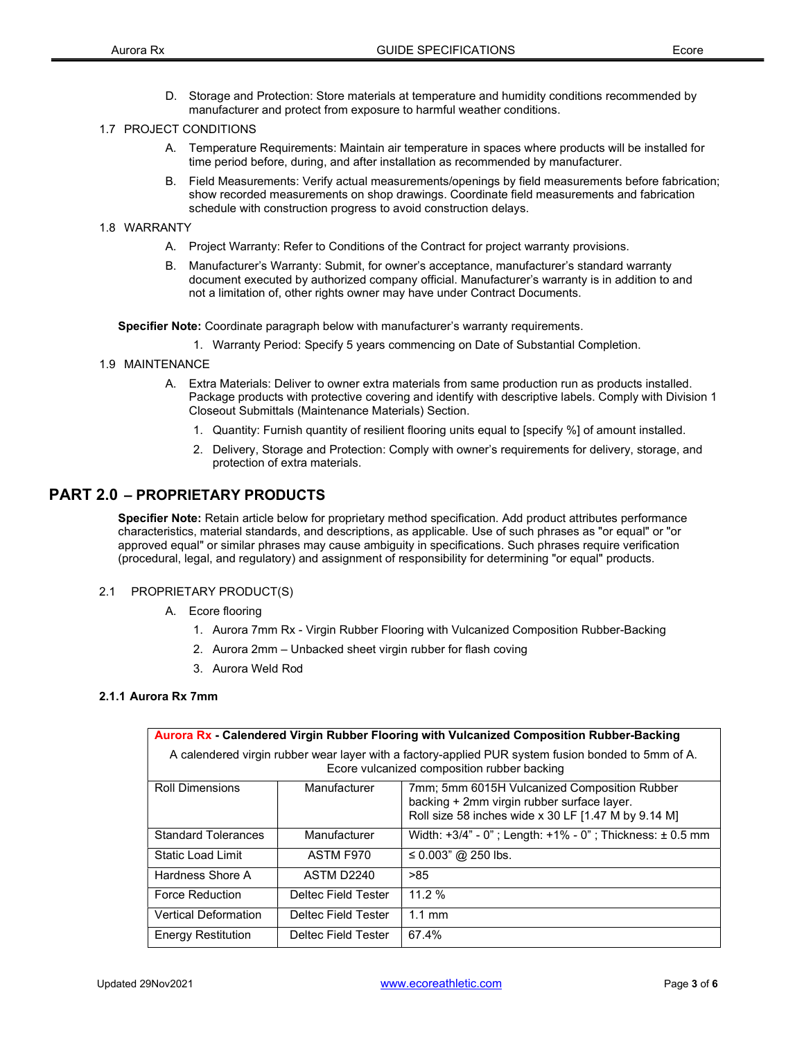D. Storage and Protection: Store materials at temperature and humidity conditions recommended by manufacturer and protect from exposure to harmful weather conditions.

# 1.7 PROJECT CONDITIONS

- A. Temperature Requirements: Maintain air temperature in spaces where products will be installed for time period before, during, and after installation as recommended by manufacturer.
- B. Field Measurements: Verify actual measurements/openings by field measurements before fabrication; show recorded measurements on shop drawings. Coordinate field measurements and fabrication schedule with construction progress to avoid construction delays.

## 1.8 WARRANTY

- A. Project Warranty: Refer to Conditions of the Contract for project warranty provisions.
- B. Manufacturer's Warranty: Submit, for owner's acceptance, manufacturer's standard warranty document executed by authorized company official. Manufacturer's warranty is in addition to and not a limitation of, other rights owner may have under Contract Documents.

Specifier Note: Coordinate paragraph below with manufacturer's warranty requirements.

1. Warranty Period: Specify 5 years commencing on Date of Substantial Completion.

- 1.9 MAINTENANCE
	- A. Extra Materials: Deliver to owner extra materials from same production run as products installed. Package products with protective covering and identify with descriptive labels. Comply with Division 1 Closeout Submittals (Maintenance Materials) Section.
		- 1. Quantity: Furnish quantity of resilient flooring units equal to [specify %] of amount installed.
		- 2. Delivery, Storage and Protection: Comply with owner's requirements for delivery, storage, and protection of extra materials.

# PART 2.0 – PROPRIETARY PRODUCTS

Specifier Note: Retain article below for proprietary method specification. Add product attributes performance characteristics, material standards, and descriptions, as applicable. Use of such phrases as "or equal" or "or approved equal" or similar phrases may cause ambiguity in specifications. Such phrases require verification (procedural, legal, and regulatory) and assignment of responsibility for determining "or equal" products.

## 2.1 PROPRIETARY PRODUCT(S)

- A. Ecore flooring
	- 1. Aurora 7mm Rx Virgin Rubber Flooring with Vulcanized Composition Rubber-Backing
	- 2. Aurora 2mm Unbacked sheet virgin rubber for flash coving
	- 3. Aurora Weld Rod

## 2.1.1 Aurora Rx 7mm

| Aurora Rx - Calendered Virgin Rubber Flooring with Vulcanized Composition Rubber-Backing                                                          |                     |                                                                                                                                                   |  |  |  |  |  |
|---------------------------------------------------------------------------------------------------------------------------------------------------|---------------------|---------------------------------------------------------------------------------------------------------------------------------------------------|--|--|--|--|--|
| A calendered virgin rubber wear layer with a factory-applied PUR system fusion bonded to 5mm of A.<br>Ecore vulcanized composition rubber backing |                     |                                                                                                                                                   |  |  |  |  |  |
| <b>Roll Dimensions</b>                                                                                                                            | Manufacturer        | 7mm; 5mm 6015H Vulcanized Composition Rubber<br>backing + 2mm virgin rubber surface layer.<br>Roll size 58 inches wide x 30 LF [1.47 M by 9.14 M] |  |  |  |  |  |
| <b>Standard Tolerances</b>                                                                                                                        | Manufacturer        | Width: $+3/4$ " - 0"; Length: $+1\%$ - 0"; Thickness: $\pm$ 0.5 mm                                                                                |  |  |  |  |  |
| <b>Static Load Limit</b>                                                                                                                          | ASTM F970           | ≤ 0.003" @ 250 lbs.                                                                                                                               |  |  |  |  |  |
| Hardness Shore A                                                                                                                                  | ASTM D2240          | >85                                                                                                                                               |  |  |  |  |  |
| <b>Force Reduction</b>                                                                                                                            | Deltec Field Tester | 11.2%                                                                                                                                             |  |  |  |  |  |
| <b>Vertical Deformation</b>                                                                                                                       | Deltec Field Tester | $1.1 \text{ mm}$                                                                                                                                  |  |  |  |  |  |
| <b>Energy Restitution</b>                                                                                                                         | Deltec Field Tester | 67.4%                                                                                                                                             |  |  |  |  |  |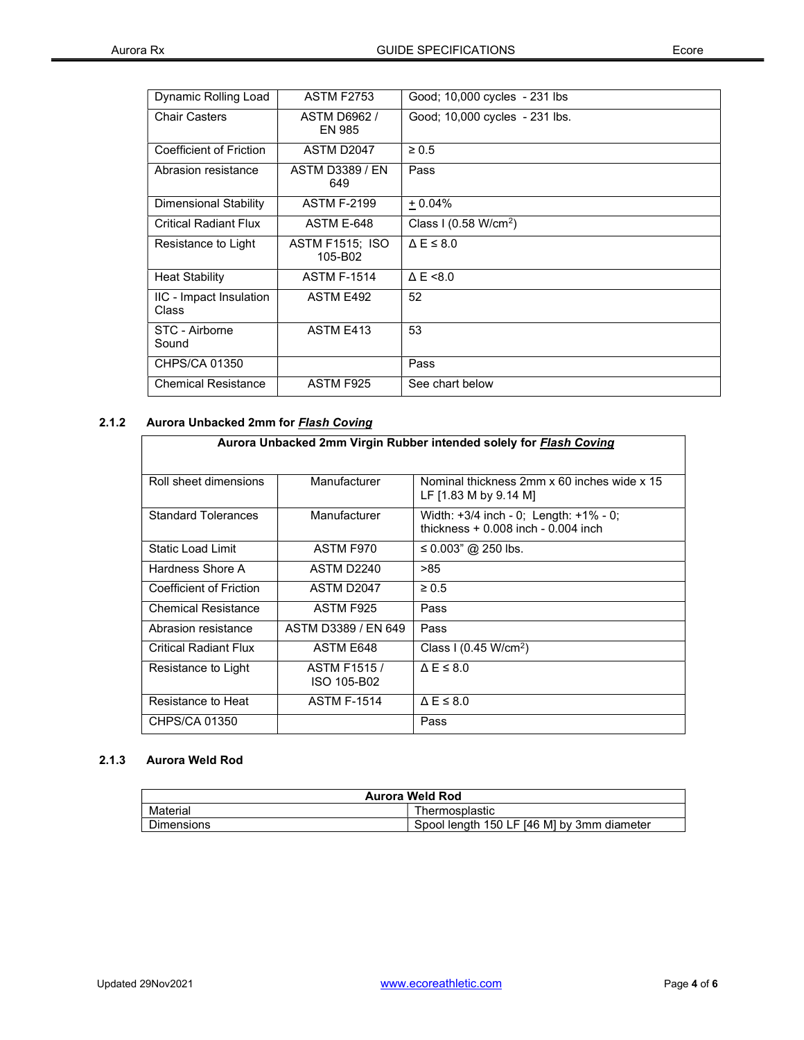| Dynamic Rolling Load                    | <b>ASTM F2753</b>                 | Good; 10,000 cycles - 231 lbs   |
|-----------------------------------------|-----------------------------------|---------------------------------|
| <b>Chair Casters</b>                    | ASTM D6962 /<br>EN 985            | Good; 10,000 cycles - 231 lbs.  |
| Coefficient of Friction                 | ASTM D2047                        | $\geq 0.5$                      |
| Abrasion resistance                     | <b>ASTM D3389 / EN</b><br>649     | Pass                            |
| <b>Dimensional Stability</b>            | <b>ASTM F-2199</b>                | $+0.04%$                        |
| <b>Critical Radiant Flux</b>            | ASTM E-648                        | Class I $(0.58 \text{ W/cm}^2)$ |
| Resistance to Light                     | <b>ASTM F1515; ISO</b><br>105-B02 | $\triangle E \leq 8.0$          |
| <b>Heat Stability</b>                   | <b>ASTM F-1514</b>                | $\triangle E \le 8.0$           |
| IIC - Impact Insulation<br><b>Class</b> | ASTM E492                         | 52                              |
| STC - Airborne<br>Sound                 | ASTM E413                         | 53                              |
| CHPS/CA 01350                           |                                   | Pass                            |
| <b>Chemical Resistance</b>              | ASTM F925                         | See chart below                 |

# 2.1.2 Aurora Unbacked 2mm for **Flash Coving**

| Aurora Unbacked 2mm Virgin Rubber intended solely for Flash Coving |                                   |                                                                                      |  |  |  |  |  |
|--------------------------------------------------------------------|-----------------------------------|--------------------------------------------------------------------------------------|--|--|--|--|--|
| Roll sheet dimensions                                              | Manufacturer                      | Nominal thickness 2mm x 60 inches wide x 15<br>LF [1.83 M by 9.14 M]                 |  |  |  |  |  |
| <b>Standard Tolerances</b>                                         | Manufacturer                      | Width: $+3/4$ inch - 0; Length: $+1\%$ - 0;<br>thickness $+0.008$ inch $-0.004$ inch |  |  |  |  |  |
| Static Load Limit                                                  | ASTM F970                         | ≤ 0.003" @ 250 lbs.                                                                  |  |  |  |  |  |
| Hardness Shore A                                                   | ASTM D2240                        | >85                                                                                  |  |  |  |  |  |
| Coefficient of Friction                                            | ASTM D2047                        | $\geq 0.5$                                                                           |  |  |  |  |  |
| <b>Chemical Resistance</b>                                         | ASTM F925                         | Pass                                                                                 |  |  |  |  |  |
| Abrasion resistance                                                | ASTM D3389 / EN 649               | Pass                                                                                 |  |  |  |  |  |
| <b>Critical Radiant Flux</b>                                       | ASTM F648                         | Class I (0.45 W/cm <sup>2</sup> )                                                    |  |  |  |  |  |
| Resistance to Light                                                | <b>ASTM F1515/</b><br>ISO 105-B02 | $\triangle E \leq 8.0$                                                               |  |  |  |  |  |
| Resistance to Heat                                                 | <b>ASTM F-1514</b>                | $\Delta E \leq 8.0$                                                                  |  |  |  |  |  |
| CHPS/CA 01350                                                      |                                   | Pass                                                                                 |  |  |  |  |  |

# 2.1.3 Aurora Weld Rod

| <b>Aurora Weld Rod</b> |                                            |  |  |  |
|------------------------|--------------------------------------------|--|--|--|
| Material               | Thermosplastic                             |  |  |  |
| <b>Dimensions</b>      | Spool length 150 LF [46 M] by 3mm diameter |  |  |  |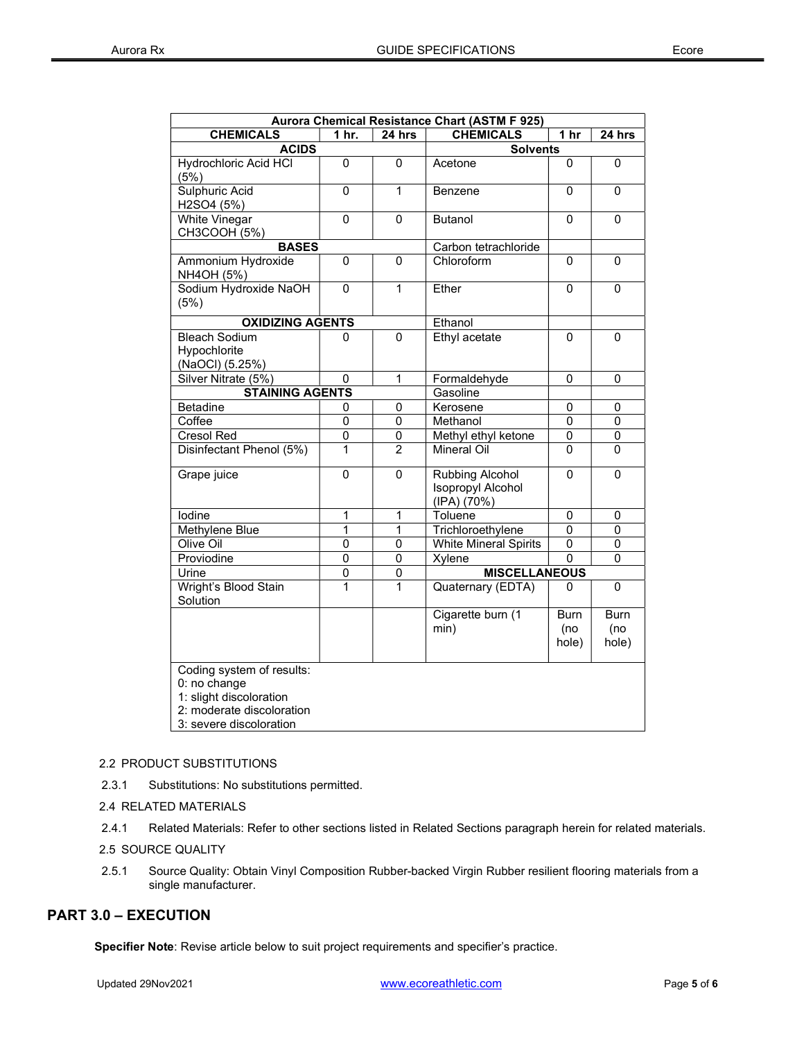| Aurora Chemical Resistance Chart (ASTM F 925)                                                                                |                 |                      |                                                            |                      |                             |  |  |  |
|------------------------------------------------------------------------------------------------------------------------------|-----------------|----------------------|------------------------------------------------------------|----------------------|-----------------------------|--|--|--|
| <b>CHEMICALS</b>                                                                                                             | 1 hr.           | 24 hrs               | <b>CHEMICALS</b>                                           | 1 hr                 | 24 hrs                      |  |  |  |
| <b>ACIDS</b>                                                                                                                 | <b>Solvents</b> |                      |                                                            |                      |                             |  |  |  |
| <b>Hydrochloric Acid HCI</b><br>(5%)                                                                                         | 0               | 0                    | Acetone                                                    | 0                    | 0                           |  |  |  |
| Sulphuric Acid<br>H2SO4 (5%)                                                                                                 | 0               | 1                    | Benzene                                                    | 0                    | $\Omega$                    |  |  |  |
| White Vinegar<br>CH3COOH (5%)                                                                                                | 0               | 0                    | <b>Butanol</b>                                             | 0                    | 0                           |  |  |  |
| <b>BASES</b>                                                                                                                 |                 |                      | Carbon tetrachloride                                       |                      |                             |  |  |  |
| Ammonium Hydroxide<br>NH4OH (5%)                                                                                             | 0               | 0                    | Chloroform                                                 | 0                    | $\Omega$                    |  |  |  |
| Sodium Hydroxide NaOH<br>(5%)                                                                                                | $\mathbf 0$     | $\mathbf{1}$         | Ether                                                      | 0                    | $\mathbf{0}$                |  |  |  |
| <b>OXIDIZING AGENTS</b>                                                                                                      |                 |                      | Ethanol                                                    |                      |                             |  |  |  |
| <b>Bleach Sodium</b><br>Hypochlorite<br>(NaOCI) (5.25%)                                                                      | 0               | 0                    | Ethyl acetate                                              | 0                    | 0                           |  |  |  |
| Silver Nitrate (5%)                                                                                                          | 0               | $\mathbf 1$          | Formaldehyde                                               | 0                    | 0                           |  |  |  |
| <b>STAINING AGENTS</b>                                                                                                       |                 |                      | Gasoline                                                   |                      |                             |  |  |  |
| <b>Betadine</b>                                                                                                              | 0               | 0                    | Kerosene                                                   | 0                    | 0                           |  |  |  |
| Coffee                                                                                                                       | 0               | $\mathbf 0$          | Methanol                                                   | 0                    | 0                           |  |  |  |
| <b>Cresol Red</b>                                                                                                            | 0               | 0                    | Methyl ethyl ketone                                        | 0                    | 0                           |  |  |  |
| Disinfectant Phenol (5%)                                                                                                     | 1               | $\overline{2}$       | <b>Mineral Oil</b>                                         | $\Omega$             | 0                           |  |  |  |
| Grape juice                                                                                                                  | 0               | 0                    | Rubbing Alcohol<br><b>Isopropyl Alcohol</b><br>(IPA) (70%) | 0                    | 0                           |  |  |  |
| lodine                                                                                                                       | 1               | $\mathbf{1}$         | Toluene                                                    | 0                    | 0                           |  |  |  |
| Methylene Blue                                                                                                               | 1               | 1                    | Trichloroethylene                                          | 0                    | 0                           |  |  |  |
| Olive Oil                                                                                                                    | 0               | 0                    | <b>White Mineral Spirits</b>                               | 0                    | 0                           |  |  |  |
| Proviodine                                                                                                                   | $\overline{0}$  | $\pmb{0}$            | Xylene                                                     | 0                    | 0                           |  |  |  |
| $\mathbf 0$<br>$\mathbf 0$<br>Urine                                                                                          |                 | <b>MISCELLANEOUS</b> |                                                            |                      |                             |  |  |  |
| Wright's Blood Stain<br>Solution                                                                                             | 1               | 1                    | Quaternary (EDTA)                                          | 0                    | 0                           |  |  |  |
|                                                                                                                              |                 |                      | Cigarette burn (1<br>min)                                  | Burn<br>(no<br>hole) | <b>Burn</b><br>(no<br>hole) |  |  |  |
| Coding system of results:<br>0: no change<br>1: slight discoloration<br>2: moderate discoloration<br>3: severe discoloration |                 |                      |                                                            |                      |                             |  |  |  |

## 2.2 PRODUCT SUBSTITUTIONS

2.3.1 Substitutions: No substitutions permitted.

2.4 RELATED MATERIALS

2.4.1 Related Materials: Refer to other sections listed in Related Sections paragraph herein for related materials.

2.5 SOURCE QUALITY

2.5.1 Source Quality: Obtain Vinyl Composition Rubber-backed Virgin Rubber resilient flooring materials from a single manufacturer.

# PART 3.0 – EXECUTION

Specifier Note: Revise article below to suit project requirements and specifier's practice.